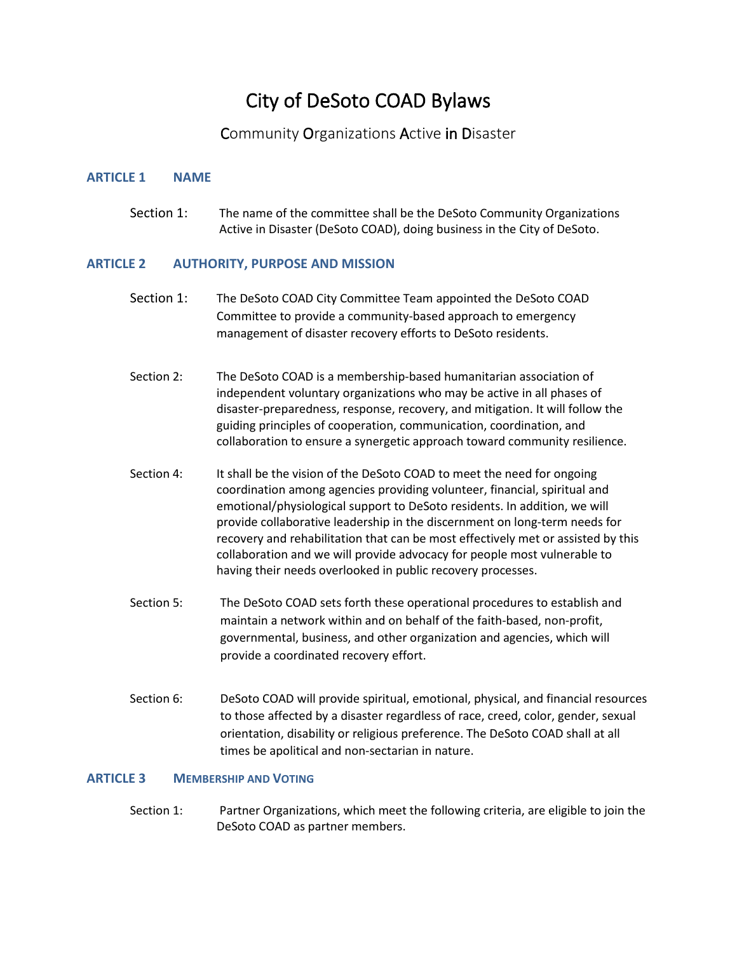# City of DeSoto COAD Bylaws

# Community Organizations Active in Disaster

# **ARTICLE 1 NAME**

Section 1: The name of the committee shall be the DeSoto Community Organizations Active in Disaster (DeSoto COAD), doing business in the City of DeSoto.

# **ARTICLE 2 AUTHORITY, PURPOSE AND MISSION**

- Section 1: The DeSoto COAD City Committee Team appointed the DeSoto COAD Committee to provide a community-based approach to emergency management of disaster recovery efforts to DeSoto residents.
- Section 2: The DeSoto COAD is a membership-based humanitarian association of independent voluntary organizations who may be active in all phases of disaster-preparedness, response, recovery, and mitigation. It will follow the guiding principles of cooperation, communication, coordination, and collaboration to ensure a synergetic approach toward community resilience.
- Section 4: It shall be the vision of the DeSoto COAD to meet the need for ongoing coordination among agencies providing volunteer, financial, spiritual and emotional/physiological support to DeSoto residents. In addition, we will provide collaborative leadership in the discernment on long-term needs for recovery and rehabilitation that can be most effectively met or assisted by this collaboration and we will provide advocacy for people most vulnerable to having their needs overlooked in public recovery processes.
- Section 5: The DeSoto COAD sets forth these operational procedures to establish and maintain a network within and on behalf of the faith-based, non-profit, governmental, business, and other organization and agencies, which will provide a coordinated recovery effort.
- Section 6: DeSoto COAD will provide spiritual, emotional, physical, and financial resources to those affected by a disaster regardless of race, creed, color, gender, sexual orientation, disability or religious preference. The DeSoto COAD shall at all times be apolitical and non-sectarian in nature.

## **ARTICLE 3 MEMBERSHIP AND VOTING**

Section 1: Partner Organizations, which meet the following criteria, are eligible to join the DeSoto COAD as partner members.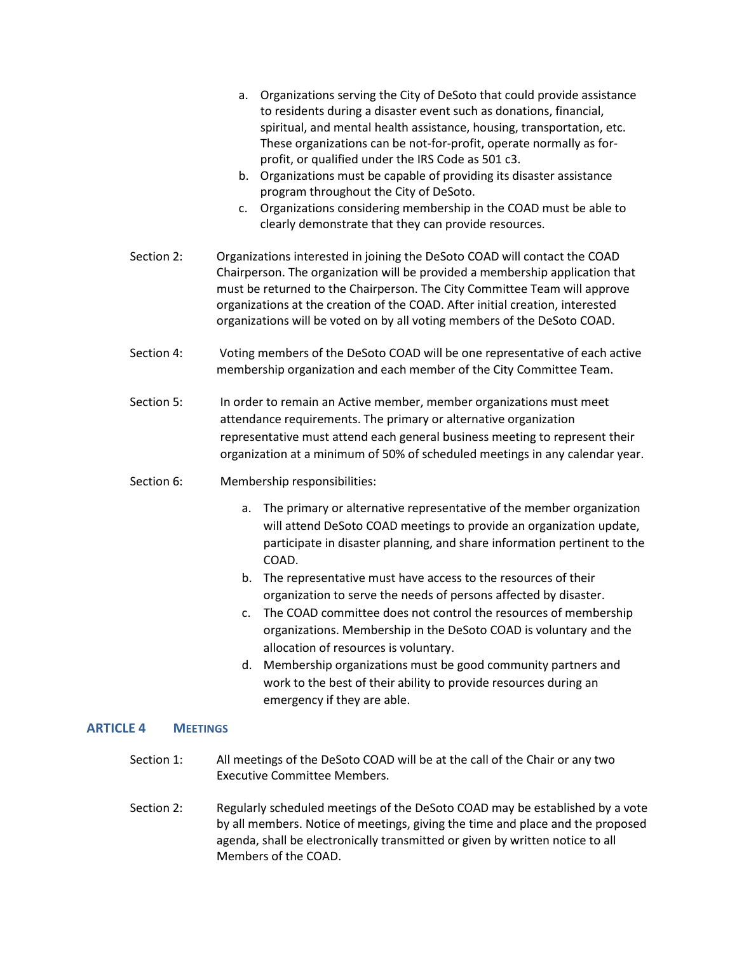- a. Organizations serving the City of DeSoto that could provide assistance to residents during a disaster event such as donations, financial, spiritual, and mental health assistance, housing, transportation, etc. These organizations can be not-for-profit, operate normally as forprofit, or qualified under the IRS Code as 501 c3.
- b. Organizations must be capable of providing its disaster assistance program throughout the City of DeSoto.
- c. Organizations considering membership in the COAD must be able to clearly demonstrate that they can provide resources.
- Section 2: Organizations interested in joining the DeSoto COAD will contact the COAD Chairperson. The organization will be provided a membership application that must be returned to the Chairperson. The City Committee Team will approve organizations at the creation of the COAD. After initial creation, interested organizations will be voted on by all voting members of the DeSoto COAD.
- Section 4: Voting members of the DeSoto COAD will be one representative of each active membership organization and each member of the City Committee Team.
- Section 5: In order to remain an Active member, member organizations must meet attendance requirements. The primary or alternative organization representative must attend each general business meeting to represent their organization at a minimum of 50% of scheduled meetings in any calendar year.
- Section 6: Membership responsibilities:
	- a. The primary or alternative representative of the member organization will attend DeSoto COAD meetings to provide an organization update, participate in disaster planning, and share information pertinent to the COAD.
	- b. The representative must have access to the resources of their organization to serve the needs of persons affected by disaster.
	- c. The COAD committee does not control the resources of membership organizations. Membership in the DeSoto COAD is voluntary and the allocation of resources is voluntary.
	- d. Membership organizations must be good community partners and work to the best of their ability to provide resources during an emergency if they are able.

## **ARTICLE 4 MEETINGS**

- Section 1: All meetings of the DeSoto COAD will be at the call of the Chair or any two Executive Committee Members.
- Section 2: Regularly scheduled meetings of the DeSoto COAD may be established by a vote by all members. Notice of meetings, giving the time and place and the proposed agenda, shall be electronically transmitted or given by written notice to all Members of the COAD.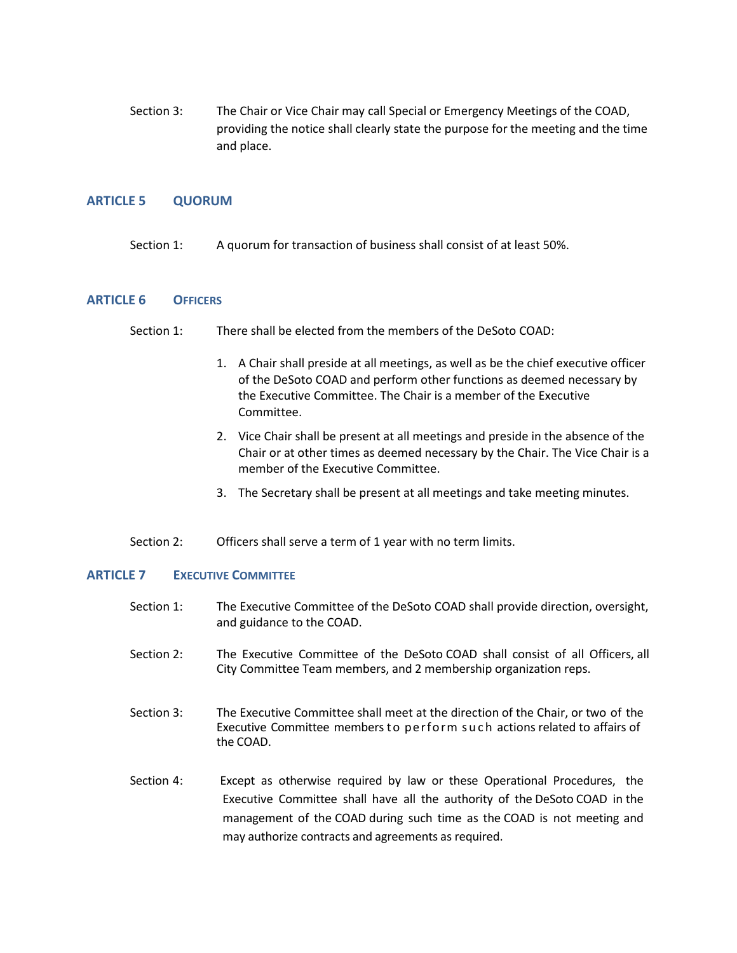Section 3: The Chair or Vice Chair may call Special or Emergency Meetings of the COAD, providing the notice shall clearly state the purpose for the meeting and the time and place.

# **ARTICLE 5 QUORUM**

Section 1: A quorum for transaction of business shall consist of at least 50%.

#### **ARTICLE 6 OFFICERS**

- Section 1: There shall be elected from the members of the DeSoto COAD:
	- 1. A Chair shall preside at all meetings, as well as be the chief executive officer of the DeSoto COAD and perform other functions as deemed necessary by the Executive Committee. The Chair is a member of the Executive Committee.
	- 2. Vice Chair shall be present at all meetings and preside in the absence of the Chair or at other times as deemed necessary by the Chair. The Vice Chair is a member of the Executive Committee.
	- 3. The Secretary shall be present at all meetings and take meeting minutes.
- Section 2: Officers shall serve a term of 1 year with no term limits.

## **ARTICLE 7 EXECUTIVE COMMITTEE**

- Section 1: The Executive Committee of the DeSoto COAD shall provide direction, oversight, and guidance to the COAD.
- Section 2: The Executive Committee of the DeSoto COAD shall consist of all Officers, all City Committee Team members, and 2 membership organization reps.
- Section 3: The Executive Committee shall meet at the direction of the Chair, or two of the Executive Committee members to perform such actions related to affairs of the COAD.
- Section 4: Except as otherwise required by law or these Operational Procedures, the Executive Committee shall have all the authority of the DeSoto COAD in the management of the COAD during such time as the COAD is not meeting and may authorize contracts and agreements as required.